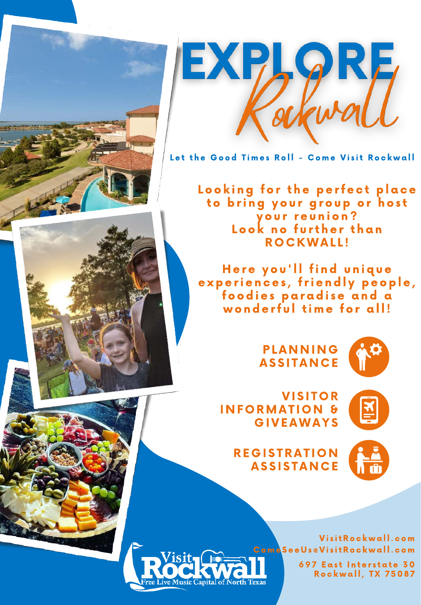

Let the Good Times Roll - Come Visit Rockwall

Looking for the perfect place to brina vour aroup or host vour reunion? Look no further than ROCKWALL!

Here you'll find unique experiences, friendly people, foodies paradise and a wonderful time for all!

> **PLANNING ASSITANCE**



**VISITOR INFORMATION & GIVEAWAYS** 



**REGISTRATION ASSISTANCE** 





Com a See Us @ Visit Rockwall.com 697 East Interstate 30

Rockwall, TX 75087

Visit Rockwall.com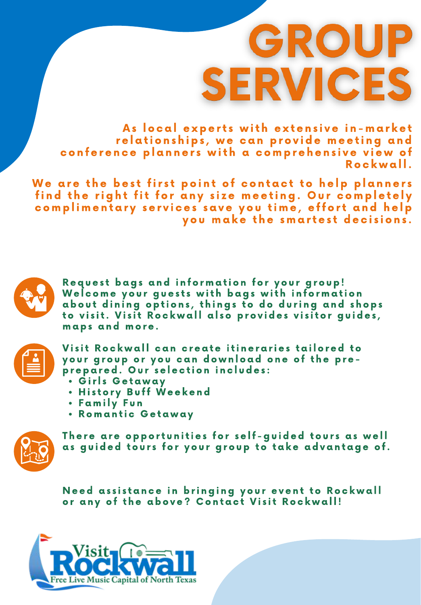# GROUP **SERVICES**

As local experts with extensive in-market relationships, we can provide meeting and conference planners with a comprehensive view of Rockwall.

We are the best first point of contact to help planners find the right fit for any size meeting. Our completely complimentary services save you time, effort and help you make the smartest decisions.

Request bags and information for your group! Welcome your guests with bags with information about dining options, things to do during and shops to visit. Visit Rockwall also provides visitor quides, maps and more.



Visit Rockwall can create itineraries tailored to your group or you can download one of the preprepared. Our selection includes:

- · Girls Getaway
- . History Buff Weekend
- Family Fun
- Romantic Getaway

![](_page_1_Picture_11.jpeg)

There are opportunities for self-guided tours as well as quided tours for your group to take advantage of.

Need assistance in bringing your event to Rockwall or any of the above? Contact Visit Rockwall!

![](_page_1_Picture_14.jpeg)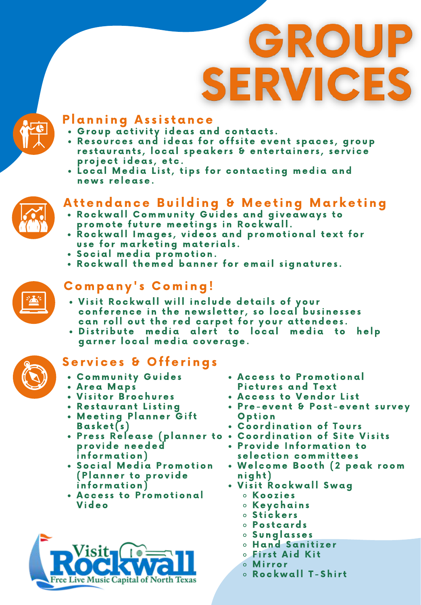# GROUP **SERVICES**

![](_page_2_Picture_1.jpeg)

## **Planning Assistance**

- . Group activity ideas and contacts.
- · Resources and ideas for offsite event spaces, group restaurants, local speakers & entertainers, service project ideas, etc.
- . Local Media List, tips for contacting media and news release.

## Attendance Building & Meeting Marketing

- . Rockwall Community Guides and giveaways to promote future meetings in Rockwall.
- Rockwall Images, videos and promotional text for use for marketing materials.
- · Social media promotion.
- . Rockwall themed banner for email signatures.

![](_page_2_Picture_11.jpeg)

# Company's Coming!

- . Visit Rockwall will include details of your conference in the newsletter, so local businesses can roll out the red carpet for your attendees.
- · Distribute media alert to local media to help garner local media coverage.

# Services & Offerings

- . Community Guides
- Area Maps
- Visitor Brochures
- Restaurant Listing
- Meeting Planner Gift Basket(s)
- p r o v i d e n e e d e d i n f o r m a t i o n )
- Social Media Promotion (Planner to provide i n f o r m a t i o n )
- Access to Promotional V i d e o

![](_page_2_Picture_24.jpeg)

- Access to Promotional Pictures and Text
- Access to Vendor List
- Pre-event & Post-event survey **Option**
- Coordination of Tours
- Press Release (planner to Coordination of Site Visits
	- Provide Information to selection committees
	- Welcome Booth (2 peak room n i g h t )
	- Visit Rockwall Swag
		- K o o z i e s
		- Keychains
		- o Stickers
		- $\circ$  Postcards
		- S u n g l a s s e s
		- **o Hand Sanitizer**
		- **S** First Aid Kit
		- o Mirror
		- $\circ$  Rockwall T-Shirt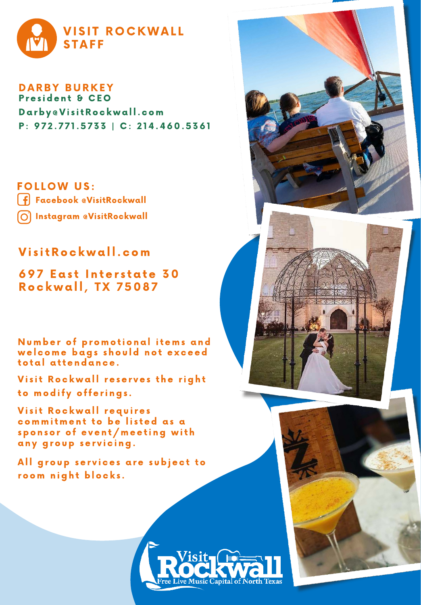![](_page_3_Picture_0.jpeg)

DARBY BURKEY Darby @Visit Rockwall.com P: 972.771.5733 | C: 214.460.5361 President & CEO

**FOLLOW US:** Facebook @VisitRockwall Instagram @VisitRockwall

## Visit Rockwall.com

## 697 East Interstate 30 **Rockwall, TX 75087**

Number of promotional items and welcome bags should not exceed total attendance.

Visit Rockwall reserves the right to modify offerings.

Visit Rockwall requires commitment to be listed as a sponsor of event/meeting with any group servicing.

All group services are subject to room night blocks.

![](_page_3_Picture_9.jpeg)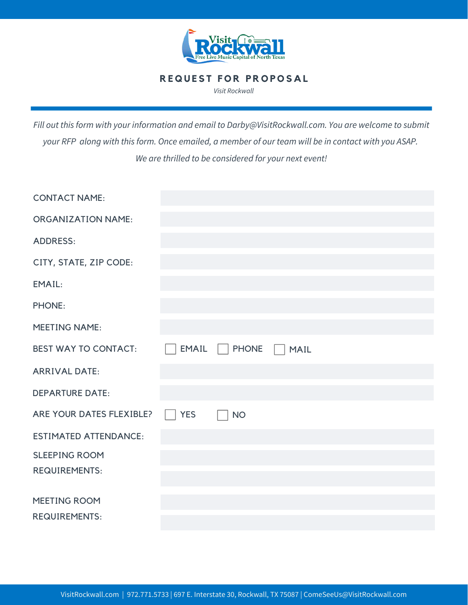![](_page_4_Picture_0.jpeg)

#### **REQUEST FOR PROPOSAL**

*Visit Rockwall*

*Fill out this form with your information and email to Darby@VisitRockwall.com. You are welcome to submit your RFP along with this form. Once emailed, a member of our team will be in contact with you ASAP. We are thrilled to be considered for your next event!*

| <b>CONTACT NAME:</b>         |            |               |                             |
|------------------------------|------------|---------------|-----------------------------|
| <b>ORGANIZATION NAME:</b>    |            |               |                             |
| <b>ADDRESS:</b>              |            |               |                             |
| CITY, STATE, ZIP CODE:       |            |               |                             |
| EMAIL:                       |            |               |                             |
| <b>PHONE:</b>                |            |               |                             |
| <b>MEETING NAME:</b>         |            |               |                             |
| <b>BEST WAY TO CONTACT:</b>  | EMAIL      | $\vert$ PHONE | <b>MAIL</b><br>$\mathbf{1}$ |
| <b>ARRIVAL DATE:</b>         |            |               |                             |
| <b>DEPARTURE DATE:</b>       |            |               |                             |
| ARE YOUR DATES FLEXIBLE?     | <b>YES</b> | <b>NO</b>     |                             |
| <b>ESTIMATED ATTENDANCE:</b> |            |               |                             |
| <b>SLEEPING ROOM</b>         |            |               |                             |
| <b>REQUIREMENTS:</b>         |            |               |                             |
| MEETING ROOM                 |            |               |                             |
| <b>REQUIREMENTS:</b>         |            |               |                             |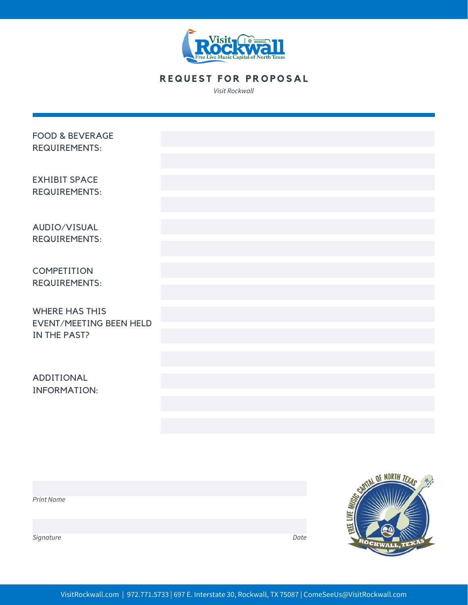![](_page_5_Picture_0.jpeg)

### **REQUEST FOR PROPOSAL**

*Visit Rockwall*

| <b>FOOD &amp; BEVERAGE</b><br><b>REQUIREMENTS:</b>                      |  |
|-------------------------------------------------------------------------|--|
| <b>EXHIBIT SPACE</b><br><b>REQUIREMENTS:</b>                            |  |
| AUDIO/VISUAL<br><b>REQUIREMENTS:</b>                                    |  |
| COMPETITION<br><b>REQUIREMENTS:</b>                                     |  |
| <b>WHERE HAS THIS</b><br><b>EVENT/MEETING BEEN HELD</b><br>IN THE PAST? |  |
| ADDITIONAL<br><b>INFORMATION:</b>                                       |  |

![](_page_5_Picture_4.jpeg)

![](_page_5_Picture_5.jpeg)